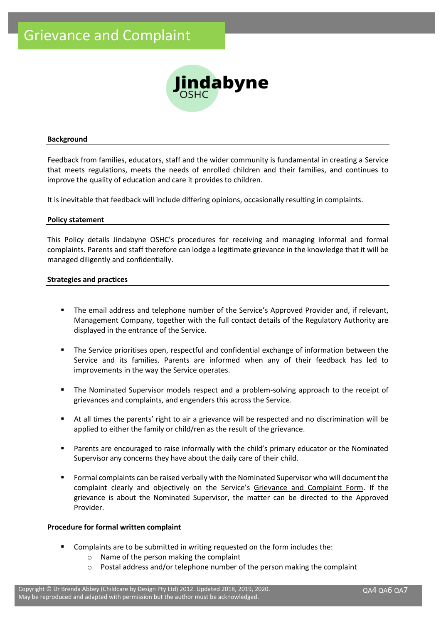

#### **Background**

Feedback from families, educators, staff and the wider community is fundamental in creating a Service that meets regulations, meets the needs of enrolled children and their families, and continues to improve the quality of education and care it provides to children.

It is inevitable that feedback will include differing opinions, occasionally resulting in complaints.

#### **Policy statement**

This Policy details Jindabyne OSHC's procedures for receiving and managing informal and formal complaints. Parents and staff therefore can lodge a legitimate grievance in the knowledge that it will be managed diligently and confidentially.

#### **Strategies and practices**

- The email address and telephone number of the Service's Approved Provider and, if relevant, Management Company, together with the full contact details of the Regulatory Authority are displayed in the entrance of the Service.
- The Service prioritises open, respectful and confidential exchange of information between the Service and its families. Parents are informed when any of their feedback has led to improvements in the way the Service operates.
- The Nominated Supervisor models respect and a problem-solving approach to the receipt of grievances and complaints, and engenders this across the Service.
- At all times the parents' right to air a grievance will be respected and no discrimination will be applied to either the family or child/ren as the result of the grievance.
- Parents are encouraged to raise informally with the child's primary educator or the Nominated Supervisor any concerns they have about the daily care of their child.
- Formal complaints can be raised verbally with the Nominated Supervisor who will document the complaint clearly and objectively on the Service's Grievance and Complaint Form. If the grievance is about the Nominated Supervisor, the matter can be directed to the Approved Provider.

## **Procedure for formal written complaint**

- Complaints are to be submitted in writing requested on the form includes the:
	- o Name of the person making the complaint
	- o Postal address and/or telephone number of the person making the complaint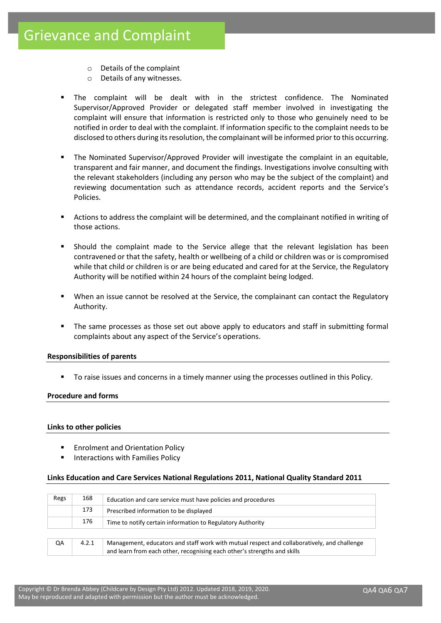- o Details of the complaint
- o Details of any witnesses.
- The complaint will be dealt with in the strictest confidence. The Nominated Supervisor/Approved Provider or delegated staff member involved in investigating the complaint will ensure that information is restricted only to those who genuinely need to be notified in order to deal with the complaint. If information specific to the complaint needs to be disclosed to others during its resolution, the complainant will be informed prior to this occurring.
- The Nominated Supervisor/Approved Provider will investigate the complaint in an equitable, transparent and fair manner, and document the findings. Investigations involve consulting with the relevant stakeholders (including any person who may be the subject of the complaint) and reviewing documentation such as attendance records, accident reports and the Service's Policies.
- Actions to address the complaint will be determined, and the complainant notified in writing of those actions.
- Should the complaint made to the Service allege that the relevant legislation has been contravened or that the safety, health or wellbeing of a child or children was or is compromised while that child or children is or are being educated and cared for at the Service, the Regulatory Authority will be notified within 24 hours of the complaint being lodged.
- When an issue cannot be resolved at the Service, the complainant can contact the Regulatory Authority.
- The same processes as those set out above apply to educators and staff in submitting formal complaints about any aspect of the Service's operations.

## **Responsibilities of parents**

To raise issues and concerns in a timely manner using the processes outlined in this Policy.

## **Procedure and forms**

## **Links to other policies**

- **Enrolment and Orientation Policy**
- Interactions with Families Policy

## **Links Education and Care Services National Regulations 2011, National Quality Standard 2011**

| Regs | 168   | Education and care service must have policies and procedures                                                                                                            |  |  |
|------|-------|-------------------------------------------------------------------------------------------------------------------------------------------------------------------------|--|--|
|      | 173   | Prescribed information to be displayed                                                                                                                                  |  |  |
|      | 176   | Time to notify certain information to Regulatory Authority                                                                                                              |  |  |
|      |       |                                                                                                                                                                         |  |  |
| QA   | 4.2.1 | Management, educators and staff work with mutual respect and collaboratively, and challenge<br>and learn from each other, recognising each other's strengths and skills |  |  |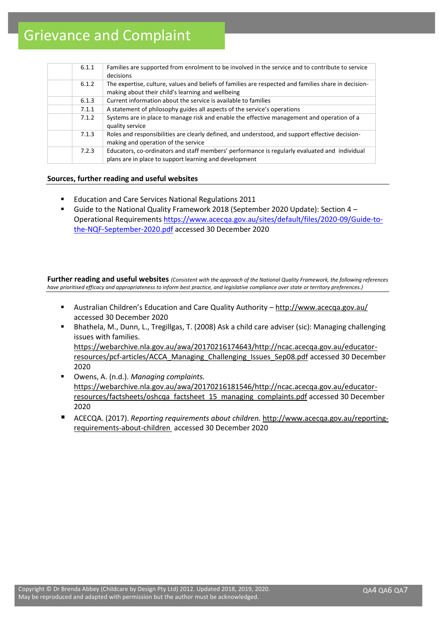# Grievance and Complaint

| 6.1.1 | Families are supported from enrolment to be involved in the service and to contribute to service<br>decisions                                             |
|-------|-----------------------------------------------------------------------------------------------------------------------------------------------------------|
| 6.1.2 | The expertise, culture, values and beliefs of families are respected and families share in decision-<br>making about their child's learning and wellbeing |
| 6.1.3 | Current information about the service is available to families                                                                                            |
| 7.1.1 | A statement of philosophy guides all aspects of the service's operations                                                                                  |
| 7.1.2 | Systems are in place to manage risk and enable the effective management and operation of a<br>quality service                                             |
| 7.1.3 | Roles and responsibilities are clearly defined, and understood, and support effective decision-<br>making and operation of the service                    |
| 7.2.3 | Educators, co-ordinators and staff members' performance is regularly evaluated and individual<br>plans are in place to support learning and development   |

## **Sources, further reading and useful websites**

- Education and Care Services National Regulations 2011
- Guide to the National Quality Framework 2018 (September 2020 Update): Section 4 Operational Requirements [https://www.acecqa.gov.au/sites/default/files/2020-09/Guide-to](https://www.acecqa.gov.au/sites/default/files/2020-09/Guide-to-the-NQF-September-2020.pdf)[the-NQF-September-2020.pdf](https://www.acecqa.gov.au/sites/default/files/2020-09/Guide-to-the-NQF-September-2020.pdf) accessed 30 December 2020

**Further reading and useful websites** *(Consistent with the approach of the National Quality Framework, the following references have prioritised efficacy and appropriateness to inform best practice, and legislative compliance over state or territory preferences.)*

- Australian Children's Education and Care Quality Authority http://www.acecqa.gov.au/ accessed 30 December 2020
- Bhathela, M., Dunn, L., Tregillgas, T. (2008) Ask a child care adviser (sic): Managing challenging issues with families. [https://webarchive.nla.gov.au/awa/20170216174643/http://ncac.acecqa.gov.au/educator](https://webarchive.nla.gov.au/awa/20170216174643/http:/ncac.acecqa.gov.au/educator-resources/pcf-articles/ACCA_Managing_Challenging_Issues_Sep08.pdf)[resources/pcf-articles/ACCA\\_Managing\\_Challenging\\_Issues\\_Sep08.pdf](https://webarchive.nla.gov.au/awa/20170216174643/http:/ncac.acecqa.gov.au/educator-resources/pcf-articles/ACCA_Managing_Challenging_Issues_Sep08.pdf) accessed 30 December 2020
- Owens, A. (n.d.). *Managing complaints.* [https://webarchive.nla.gov.au/awa/20170216181546/http://ncac.acecqa.gov.au/educator](https://webarchive.nla.gov.au/awa/20170216181546/http:/ncac.acecqa.gov.au/educator-resources/factsheets/oshcqa_factsheet_15_managing_complaints.pdf)[resources/factsheets/oshcqa\\_factsheet\\_15\\_managing\\_complaints.pdf](https://webarchive.nla.gov.au/awa/20170216181546/http:/ncac.acecqa.gov.au/educator-resources/factsheets/oshcqa_factsheet_15_managing_complaints.pdf) [accessed](http://ncac.acecqa.gov.au/educator-resources/factsheets/qias_factsheet_5.pdf%20accessed%205%20February%202016) 30 December 2020
- ACECQA. (2017). *Reporting requirements about children.* [http://www.acecqa.gov.au/reporting](http://www.acecqa.gov.au/reporting-requirements-about-children)[requirements-about-children](http://www.acecqa.gov.au/reporting-requirements-about-children) accessed 30 December 2020